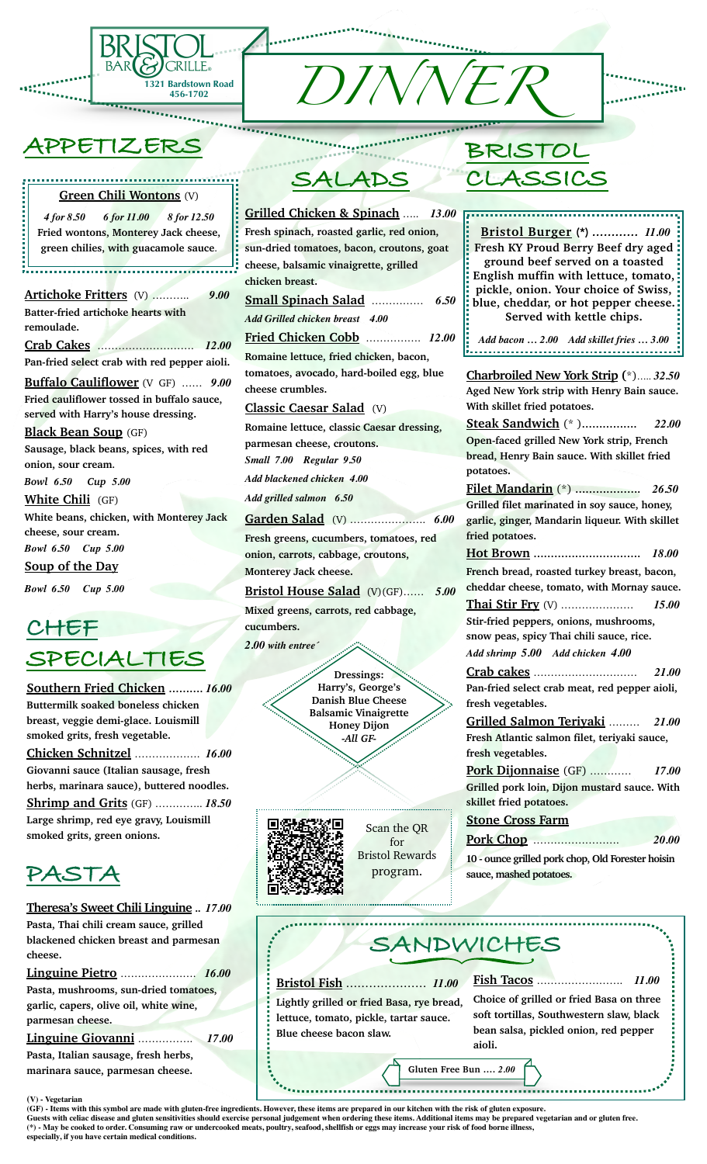

# **APPETIZERS**

### **Green Chili Wontons** (V)

.........................

*4 for 8.50 6 for 11.00 8 for 12.50* **Fried wontons, Monterey Jack cheese, green chilies, with guacamole sauce**.

**Artichoke Fritters** (V) ……….. *9.00* **Batter-fried artichoke hearts with remoulade. Crab Cakes** ………………………. *12.00* **Pan-fried select crab with red pepper aioli. Buffalo Cauliflower** (V GF) …… *9.00* **Fried cauliflower tossed in buffalo sauce,** 

**served with Harry's house dressing. Black Bean Soup** (GF)

**Sausage, black beans, spices, with red onion, sour cream.**

*Bowl 6.50 Cup 5.00* **White Chili** (GF) **White beans, chicken, with Monterey Jack cheese, sour cream.** *Bowl 6.50 Cup 5.00*

**Soup of the Day**

*Bowl 6.50 Cup 5.00*

# **CHEF SPECIALTIES**

**Southern Fried Chicken ……….** *16.00* **Buttermilk soaked boneless chicken breast, veggie demi-glace. Louismill smoked grits, fresh vegetable.**

**Chicken Schnitzel** ………………. *16.00* **Giovanni sauce (Italian sausage, fresh herbs, marinara sauce), buttered noodles. Shrimp and Grits** (GF) ………….. *18.50* **Large shrimp, red eye gravy, Louismill smoked grits, green onions.**

# **PASTA**

# **Theresa's Sweet Chili Linguine ..** *17.00* **Pasta, Thai chili cream sauce, grilled blackened chicken breast and parmesan cheese.**

**Linguine Pietro** …………………. *16.00* **Pasta, mushrooms, sun-dried tomatoes, garlic, capers, olive oil, white wine, parmesan cheese. Linguine Giovanni** ……………. *17.00* **Pasta, Italian sausage, fresh herbs,** 

**marinara sauce, parmesan cheese.**

#### **(V) - Vegetarian**



 $\frac{1}{\sqrt{2\pi\left(1+\frac{1}{2}\right)\left(1+\frac{1}{2}\right)}}\left(\frac{1}{\sqrt{2\pi\left(1+\frac{1}{2}\right)\left(1+\frac{1}{2}\right)}}\right).$ 

**Grilled Chicken & Spinach** ….. *13.00* **Fresh spinach, roasted garlic, red onion, sun-dried tomatoes, bacon, croutons, goat cheese, balsamic vinaigrette, grilled chicken breast. Small Spinach Salad** …………… *6.50*

*Add Grilled chicken breast 4.00* **Fried Chicken Cobb** ……………. *12.00*

**Romaine lettuce, fried chicken, bacon, tomatoes, avocado, hard-boiled egg, blue cheese crumbles.**

**Classic Caesar Salad** (V)

**Romaine lettuce, classic Caesar dressing, parmesan cheese, croutons.** *Small 7.00 Regular 9.50 Add blackened chicken 4.00*

*Add grilled salmon 6.50*

**Garden Salad** (V) …………………. *6.00* **Fresh greens, cucumbers, tomatoes, red onion, carrots, cabbage, croutons, Monterey Jack cheese.** 

**Bristol House Salad** (V)(GF)…… *5.00*

**Mixed greens, carrots, red cabbage, cucumbers.** *2.00 with entree´*

> **Dressings: Harry's, George's Danish Blue Cheese Balsamic Vinaigrette Honey Dijon** *-All GF-*

> > Scan the QR for Bristol Rewards program.

**BRISTOL CLASSICS**

**Bristol Burger** (\*) *………… 11.00* **Fresh KY Proud Berry Beef dry aged ground beef served on a toasted English muffin with lettuce, tomato, pickle, onion. Your choice of Swiss, blue, cheddar, or hot pepper cheese. Served with kettle chips.**  *Add bacon … 2.00 Add skillet fries … 3.00* **Charbroiled New York Strip (**\*)….. *32.50* **Aged New York strip with Henry Bain sauce. With skillet fried potatoes. Steak Sandwich** (\* )**…………….** *22.00* **Open-faced grilled New York strip, French bread, Henry Bain sauce. With skillet fried potatoes. Filet Mandarin** (\*) **……………….** *26.50* **Grilled filet marinated in soy sauce, honey, garlic, ginger, Mandarin liqueur. With skillet fried potatoes. Hot Brown ………………………….** *18.00* **French bread, roasted turkey breast, bacon, cheddar cheese, tomato, with Mornay sauce. Thai Stir Fry** (V) ………………… *15.00* **Stir-fried peppers, onions, mushrooms, snow peas, spicy Thai chili sauce, rice.** *Add shrimp 5.00 Add chicken 4.00* **Crab cakes** ………………………… *21.00* **Pan-fried select crab meat, red pepper aioli, fresh vegetables. Grilled Salmon Teriyaki** ……… *21.00* **Fresh Atlantic salmon filet, teriyaki sauce, fresh vegetables. Pork Dijonnaise** (GF) ………… *17.00* **Grilled pork loin, Dijon mustard sauce. With skillet fried potatoes. Stone Cross Farm Pork Chop** ……………………. *20.00* **10 - ounce grilled pork chop, Old Forester hoisin sauce, mashed potatoes.** 



**(GF) - Items with this symbol are made with gluten-free ingredients. However, these items are prepared in our kitchen with the risk of gluten exposure. Guests with celiac disease and gluten sensitivities should exercise personal judgement when ordering these items. Additional items may be prepared vegetarian and or gluten free. (\*) - May be cooked to order. Consuming raw or undercooked meats, poultry, seafood, shellfish or eggs may increase your risk of food borne illness, especially, if you have certain medical conditions.**